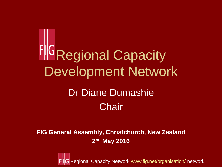**FIG Regional Capacity** Development Network Dr Diane Dumashie **Chair** 

**FIG General Assembly, Christchurch, New Zealand 2 nd May 2016**

Regional Capacity Network [www.fig.net/organisation/](http://www.fig.net/organisation/) network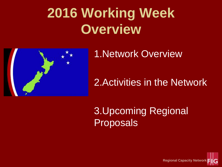## **2016 Working Week Overview**



1.Network Overview

### 2.Activities in the Network

3.Upcoming Regional Proposals

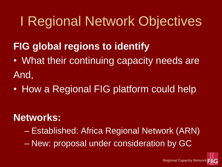## I Regional Network Objectives

### **FIG global regions to identify**

- What their continuing capacity needs are And,
- How a Regional FIG platform could help

### **Networks:**

- Established: Africa Regional Network (ARN)
- New: proposal under consideration by GC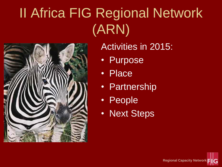# II Africa FIG Regional Network (ARN)



Activities in 2015:

- Purpose
- Place
- Partnership
- People
- Next Steps

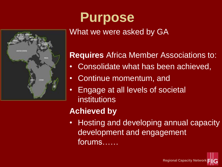## **Purpose** What we were asked by GA

NITED STATES



- Consolidate what has been achieved,
- Continue momentum, and
- Engage at all levels of societal institutions

#### **Achieved by**

• Hosting and developing annual capacity development and engagement forums……

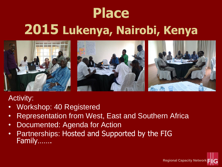# **Place 2015 Lukenya, Nairobi, Kenya**



#### Activity:

- Workshop: 40 Registered
- Representation from West, East and Southern Africa
- Documented: Agenda for Action
- Partnerships: Hosted and Supported by the FIG Family…….

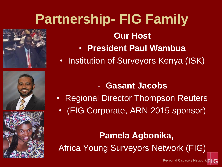# **Partnership- FIG Family Our Host**

- **President Paul Wambua**
- Institution of Surveyors Kenya (ISK)
	- **Gasant Jacobs**
- Regional Director Thompson Reuters • (FIG Corporate, ARN 2015 sponsor)

- **Pamela Agbonika,**  Africa Young Surveyors Network (FIG)

**Regional Capacity Network**



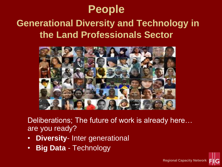### **People**

### **Generational Diversity and Technology in the Land Professionals Sector**



Deliberations; The future of work is already here… are you ready?

**Regional Capacity Network**

- **Diversity** Inter generational
- **Big Data**  Technology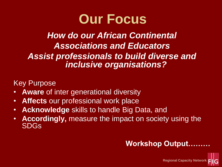

#### *How do our African Continental Associations and Educators Assist professionals to build diverse and inclusive organisations?*

Key Purpose

- **Aware** of inter generational diversity
- **Affects** our professional work place
- **Acknowledge** skills to handle Big Data, and
- **Accordingly,** measure the impact on society using the SDGs

#### **Workshop Output………**

**Regional Capacity Network**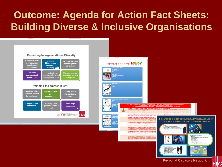### **Outcome: Agenda for Action Fact Sheets: Building Diverse & Inclusive Organisations**

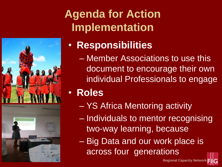

## **Agenda for Action Implementation**

- **Responsibilities**
	- Member Associations to use this document to encourage their own individual Professionals to engage
- **Roles**
	- YS Africa Mentoring activity
	- Individuals to mentor recognising two-way learning, because
	- Big Data and our work place is across four generations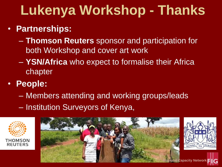## **Lukenya Workshop - Thanks**

- **Partnerships:** 
	- **Thomson Reuters** sponsor and participation for both Workshop and cover art work
	- **YSN/Africa** who expect to formalise their Africa chapter
- **People:** 
	- Members attending and working groups/leads
	- Institution Surveyors of Kenya,



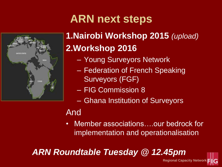

## **ARN next steps**

### **1.Nairobi Workshop 2015** *(upload)* **2.Workshop 2016**

- Young Surveyors Network
- Federation of French Speaking Surveyors (FGF)
- FIG Commission 8
- Ghana Institution of Surveyors

#### And

• Member associations....our bedrock for implementation and operationalisation

**Regional Capacity Network**

*ARN Roundtable Tuesday @ 12.45pm*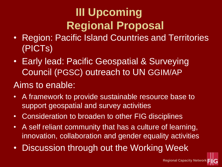## **III Upcoming Regional Proposal**

- Region: Pacific Island Countries and Territories (PICTs)
- Early lead: Pacific Geospatial & Surveying Council (PGSC) outreach to UN GGIM/AP

#### Aims to enable:

- A framework to provide sustainable resource base to support geospatial and survey activities
- Consideration to broaden to other FIG disciplines
- A self reliant community that has a culture of learning, innovation, collaboration and gender equality activities
- Discussion through out the Working Week